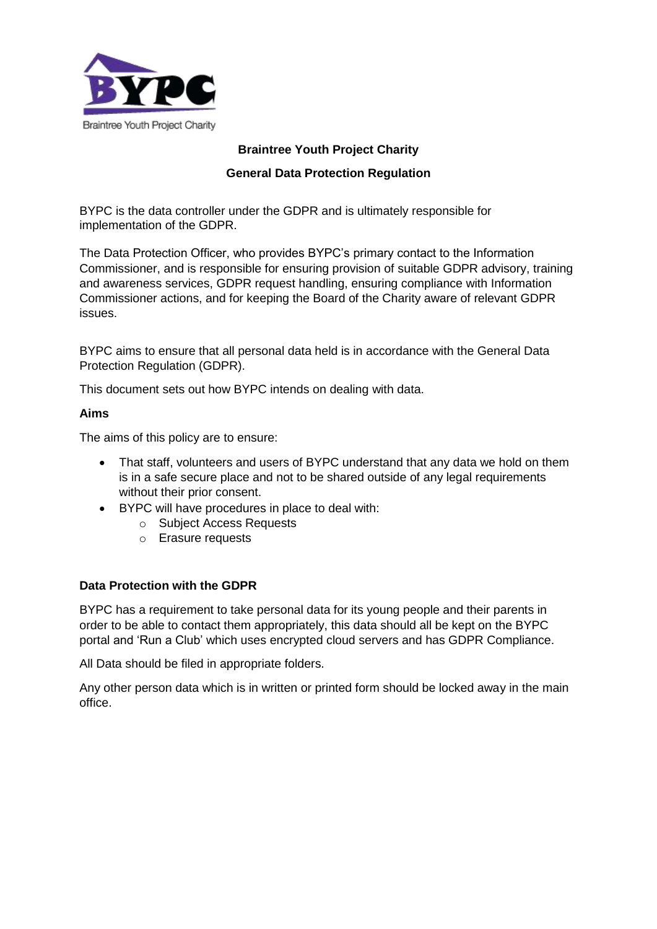

## **Braintree Youth Project Charity**

## **General Data Protection Regulation**

BYPC is the data controller under the GDPR and is ultimately responsible for implementation of the GDPR.

The Data Protection Officer, who provides BYPC's primary contact to the Information Commissioner, and is responsible for ensuring provision of suitable GDPR advisory, training and awareness services, GDPR request handling, ensuring compliance with Information Commissioner actions, and for keeping the Board of the Charity aware of relevant GDPR issues.

BYPC aims to ensure that all personal data held is in accordance with the General Data Protection Regulation (GDPR).

This document sets out how BYPC intends on dealing with data.

#### **Aims**

The aims of this policy are to ensure:

- That staff, volunteers and users of BYPC understand that any data we hold on them is in a safe secure place and not to be shared outside of any legal requirements without their prior consent.
- BYPC will have procedures in place to deal with:
	- o Subject Access Requests
	- o Erasure requests

#### **Data Protection with the GDPR**

BYPC has a requirement to take personal data for its young people and their parents in order to be able to contact them appropriately, this data should all be kept on the BYPC portal and 'Run a Club' which uses encrypted cloud servers and has GDPR Compliance.

All Data should be filed in appropriate folders.

Any other person data which is in written or printed form should be locked away in the main office.